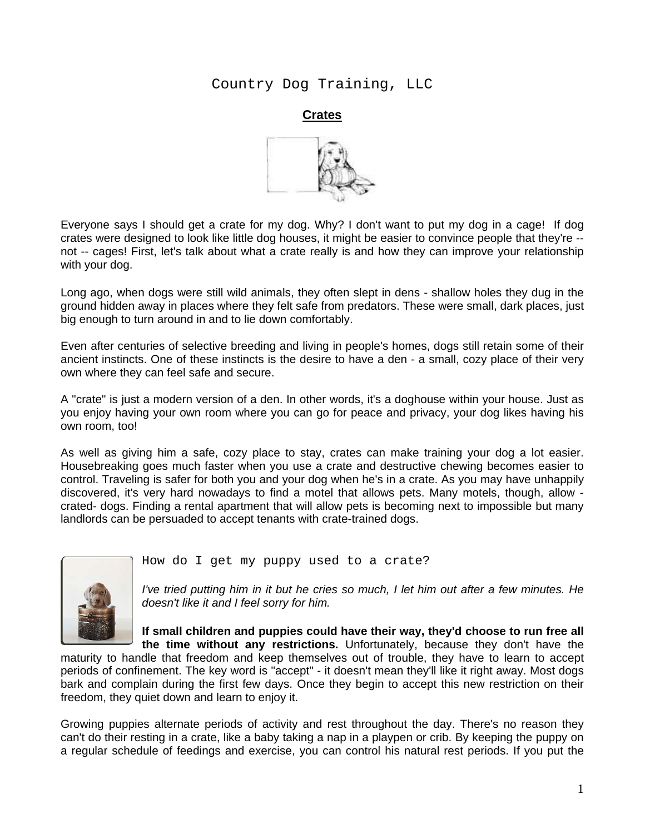Country Dog Training, LLC

**Crates**



Everyone says I should get a crate for my dog. Why? I don't want to put my dog in a cage!If dog crates were designed to look like little dog houses, it might be easier to convince people that they're - not -- cages! First, let's talk about what a crate really is and how they can improve your relationship with your dog.

Long ago, when dogs were still wild animals, they often slept in dens - shallow holes they dug in the ground hidden away in places where they felt safe from predators. These were small, dark places, just big enough to turn around in and to lie down comfortably.

Even after centuries of selective breeding and living in people's homes, dogs still retain some of their ancient instincts. One of these instincts is the desire to have a den - a small, cozy place of their very own where they can feel safe and secure.

A "crate" is just a modern version of a den. In other words, it's a doghouse within your house. Just as you enjoy having your own room where you can go for peace and privacy, your dog likes having his own room, too!

As well as giving him a safe, cozy place to stay, crates can make training your dog a lot easier. Housebreaking goes much faster when you use a crate and destructive chewing becomes easier to control. Traveling is safer for both you and your dog when he's in a crate. As you may have unhappily discovered, it's very hard nowadays to find a motel that allows pets. Many motels, though, allow crated- dogs. Finding a rental apartment that will allow pets is becoming next to impossible but many landlords can be persuaded to accept tenants with crate-trained dogs.



How do I get my puppy used to a crate?

*I've tried putting him in it but he cries so much, I let him out after a few minutes. He doesn't like it and I feel sorry for him.* 

**If small children and puppies could have their way, they'd choose to run free all the time without any restrictions.** Unfortunately, because they don't have the

maturity to handle that freedom and keep themselves out of trouble, they have to learn to accept periods of confinement. The key word is "accept" - it doesn't mean they'll like it right away. Most dogs bark and complain during the first few days. Once they begin to accept this new restriction on their freedom, they quiet down and learn to enjoy it.

Growing puppies alternate periods of activity and rest throughout the day. There's no reason they can't do their resting in a crate, like a baby taking a nap in a playpen or crib. By keeping the puppy on a regular schedule of feedings and exercise, you can control his natural rest periods. If you put the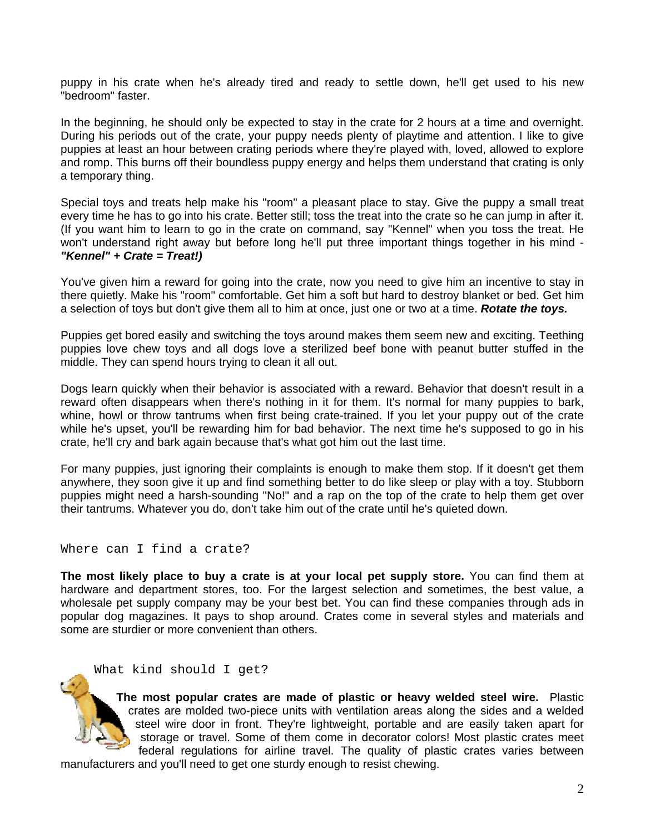puppy in his crate when he's already tired and ready to settle down, he'll get used to his new "bedroom" faster.

In the beginning, he should only be expected to stay in the crate for 2 hours at a time and overnight. During his periods out of the crate, your puppy needs plenty of playtime and attention. I like to give puppies at least an hour between crating periods where they're played with, loved, allowed to explore and romp. This burns off their boundless puppy energy and helps them understand that crating is only a temporary thing.

Special toys and treats help make his "room" a pleasant place to stay. Give the puppy a small treat every time he has to go into his crate. Better still; toss the treat into the crate so he can jump in after it. (If you want him to learn to go in the crate on command, say "Kennel" when you toss the treat. He won't understand right away but before long he'll put three important things together in his mind - *"Kennel" + Crate = Treat!)* 

You've given him a reward for going into the crate, now you need to give him an incentive to stay in there quietly. Make his "room" comfortable. Get him a soft but hard to destroy blanket or bed. Get him a selection of toys but don't give them all to him at once, just one or two at a time. *Rotate the toys.* 

Puppies get bored easily and switching the toys around makes them seem new and exciting. Teething puppies love chew toys and all dogs love a sterilized beef bone with peanut butter stuffed in the middle. They can spend hours trying to clean it all out.

Dogs learn quickly when their behavior is associated with a reward. Behavior that doesn't result in a reward often disappears when there's nothing in it for them. It's normal for many puppies to bark, whine, howl or throw tantrums when first being crate-trained. If you let your puppy out of the crate while he's upset, you'll be rewarding him for bad behavior. The next time he's supposed to go in his crate, he'll cry and bark again because that's what got him out the last time.

For many puppies, just ignoring their complaints is enough to make them stop. If it doesn't get them anywhere, they soon give it up and find something better to do like sleep or play with a toy. Stubborn puppies might need a harsh-sounding "No!" and a rap on the top of the crate to help them get over their tantrums. Whatever you do, don't take him out of the crate until he's quieted down.

Where can I find a crate?

**The most likely place to buy a crate is at your local pet supply store.** You can find them at hardware and department stores, too. For the largest selection and sometimes, the best value, a wholesale pet supply company may be your best bet. You can find these companies through ads in popular dog magazines. It pays to shop around. Crates come in several styles and materials and some are sturdier or more convenient than others.

What kind should I get?

**The most popular crates are made of plastic or heavy welded steel wire.** Plastic crates are molded two-piece units with ventilation areas along the sides and a welded steel wire door in front. They're lightweight, portable and are easily taken apart for storage or travel. Some of them come in decorator colors! Most plastic crates meet federal regulations for airline travel. The quality of plastic crates varies between

manufacturers and you'll need to get one sturdy enough to resist chewing.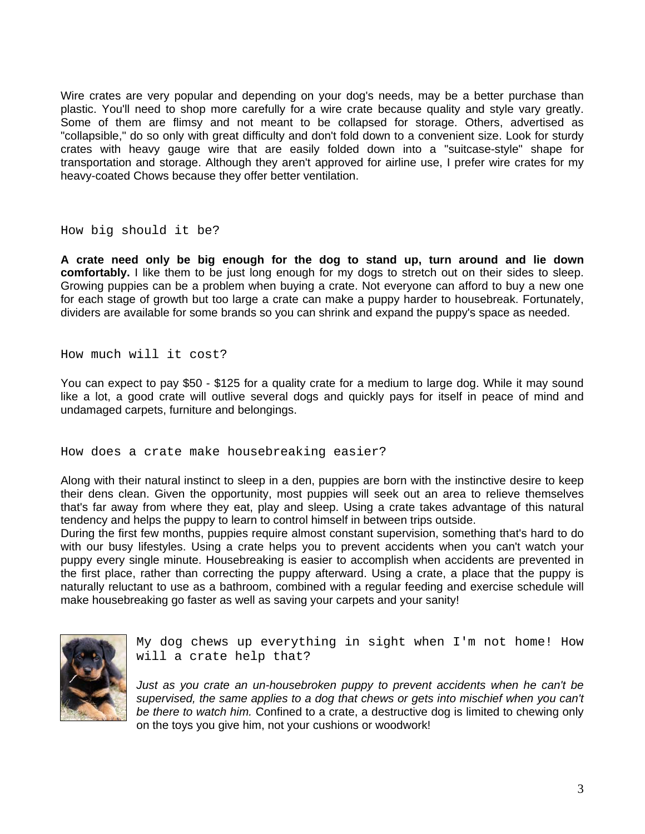Wire crates are very popular and depending on your dog's needs, may be a better purchase than plastic. You'll need to shop more carefully for a wire crate because quality and style vary greatly. Some of them are flimsy and not meant to be collapsed for storage. Others, advertised as "collapsible," do so only with great difficulty and don't fold down to a convenient size. Look for sturdy crates with heavy gauge wire that are easily folded down into a "suitcase-style" shape for transportation and storage. Although they aren't approved for airline use, I prefer wire crates for my heavy-coated Chows because they offer better ventilation.

How big should it be?

**A crate need only be big enough for the dog to stand up, turn around and lie down comfortably.** I like them to be just long enough for my dogs to stretch out on their sides to sleep. Growing puppies can be a problem when buying a crate. Not everyone can afford to buy a new one for each stage of growth but too large a crate can make a puppy harder to housebreak. Fortunately, dividers are available for some brands so you can shrink and expand the puppy's space as needed.

How much will it cost?

You can expect to pay \$50 - \$125 for a quality crate for a medium to large dog. While it may sound like a lot, a good crate will outlive several dogs and quickly pays for itself in peace of mind and undamaged carpets, furniture and belongings.

How does a crate make housebreaking easier?

Along with their natural instinct to sleep in a den, puppies are born with the instinctive desire to keep their dens clean. Given the opportunity, most puppies will seek out an area to relieve themselves that's far away from where they eat, play and sleep. Using a crate takes advantage of this natural tendency and helps the puppy to learn to control himself in between trips outside.

During the first few months, puppies require almost constant supervision, something that's hard to do with our busy lifestyles. Using a crate helps you to prevent accidents when you can't watch your puppy every single minute. Housebreaking is easier to accomplish when accidents are prevented in the first place, rather than correcting the puppy afterward. Using a crate, a place that the puppy is naturally reluctant to use as a bathroom, combined with a regular feeding and exercise schedule will make housebreaking go faster as well as saving your carpets and your sanity!



My dog chews up everything in sight when I'm not home! How will a crate help that?

*Just as you crate an un-housebroken puppy to prevent accidents when he can't be supervised, the same applies to a dog that chews or gets into mischief when you can't be there to watch him.* Confined to a crate, a destructive dog is limited to chewing only on the toys you give him, not your cushions or woodwork!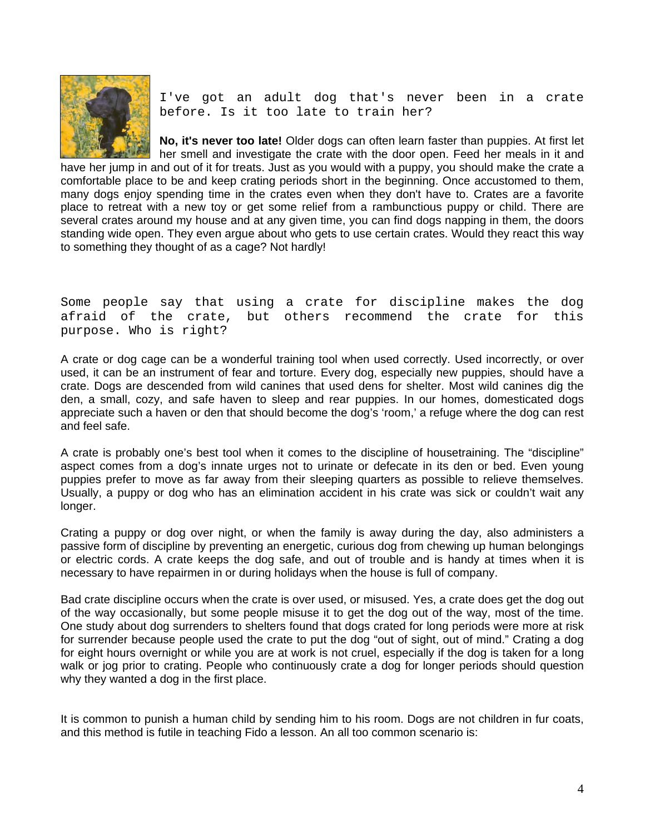

I've got an adult dog that's never been in a crate before. Is it too late to train her?

**No, it's never too late!** Older dogs can often learn faster than puppies. At first let her smell and investigate the crate with the door open. Feed her meals in it and have her jump in and out of it for treats. Just as you would with a puppy, you should make the crate a comfortable place to be and keep crating periods short in the beginning. Once accustomed to them, many dogs enjoy spending time in the crates even when they don't have to. Crates are a favorite place to retreat with a new toy or get some relief from a rambunctious puppy or child. There are several crates around my house and at any given time, you can find dogs napping in them, the doors standing wide open. They even argue about who gets to use certain crates. Would they react this way to something they thought of as a cage? Not hardly!

Some people say that using a crate for discipline makes the dog afraid of the crate, but others recommend the crate for this purpose. Who is right?

A crate or dog cage can be a wonderful training tool when used correctly. Used incorrectly, or over used, it can be an instrument of fear and torture. Every dog, especially new puppies, should have a crate. Dogs are descended from wild canines that used dens for shelter. Most wild canines dig the den, a small, cozy, and safe haven to sleep and rear puppies. In our homes, domesticated dogs appreciate such a haven or den that should become the dog's 'room,' a refuge where the dog can rest and feel safe.

A crate is probably one's best tool when it comes to the discipline of housetraining. The "discipline" aspect comes from a dog's innate urges not to urinate or defecate in its den or bed. Even young puppies prefer to move as far away from their sleeping quarters as possible to relieve themselves. Usually, a puppy or dog who has an elimination accident in his crate was sick or couldn't wait any longer.

Crating a puppy or dog over night, or when the family is away during the day, also administers a passive form of discipline by preventing an energetic, curious dog from chewing up human belongings or electric cords. A crate keeps the dog safe, and out of trouble and is handy at times when it is necessary to have repairmen in or during holidays when the house is full of company.

Bad crate discipline occurs when the crate is over used, or misused. Yes, a crate does get the dog out of the way occasionally, but some people misuse it to get the dog out of the way, most of the time. One study about dog surrenders to shelters found that dogs crated for long periods were more at risk for surrender because people used the crate to put the dog "out of sight, out of mind." Crating a dog for eight hours overnight or while you are at work is not cruel, especially if the dog is taken for a long walk or jog prior to crating. People who continuously crate a dog for longer periods should question why they wanted a dog in the first place.

It is common to punish a human child by sending him to his room. Dogs are not children in fur coats, and this method is futile in teaching Fido a lesson. An all too common scenario is: